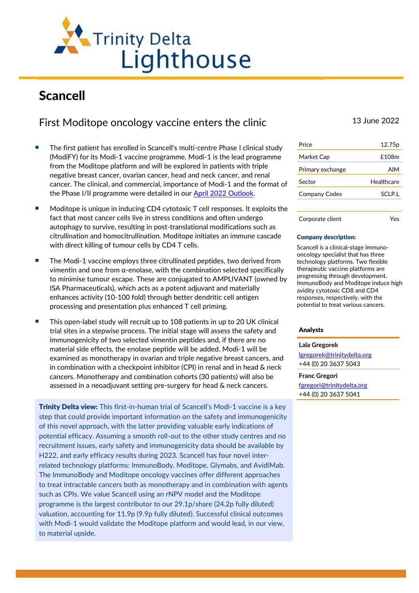

# Scancell

# First Moditope oncology vaccine enters the clinic 13 June 2022

- The first patient has enrolled in Scancell's multi-centre Phase I clinical study (ModiFY) for its Modi-1 vaccine programme. Modi-1 is the lead programme from the Moditope platform and will be explored in patients with triple negative breast cancer, ovarian cancer, head and neck cancer, and renal cancer. The clinical, and commercial, importance of Modi-1 and the format of the Phase I/II programme were detailed in our [April 2022](https://www.trinitydelta.org/wp-content/uploads/2022/04/SCLP-Outlook-220412-1.pdf) Outlook.
- Moditope is unique in inducing CD4 cytotoxic T cell responses. It exploits the fact that most cancer cells live in stress conditions and often undergo autophagy to survive, resulting in post-translational modifications such as citrullination and homocitrullination. Moditope initiates an immune cascade with direct killing of tumour cells by CD4 T cells.
- The Modi-1 vaccine employs three citrullinated peptides, two derived from vimentin and one from α-enolase, with the combination selected specifically to minimise tumour escape. These are conjugated to AMPLIVANT (owned by ISA Pharmaceuticals), which acts as a potent adjuvant and materially enhances activity (10-100 fold) through better dendritic cell antigen processing and presentation plus enhanced T cell priming.
- This open-label study will recruit up to 108 patients in up to 20 UK clinical trial sites in a stepwise process. The initial stage will assess the safety and immunogenicity of two selected vimentin peptides and, if there are no material side effects, the enolase peptide will be added. Modi-1 will be examined as monotherapy in ovarian and triple negative breast cancers, and in combination with a checkpoint inhibitor (CPI) in renal and in head & neck cancers. Monotherapy and combination cohorts (30 patients) will also be assessed in a neoadjuvant setting pre-surgery for head & neck cancers.

**Trinity Delta view:** This first-in-human trial of Scancell's Modi-1 vaccine is a key step that could provide important information on the safety and immunogenicity of this novel approach, with the latter providing valuable early indications of potential efficacy. Assuming a smooth roll-out to the other study centres and no recruitment issues, early safety and immunogenicity data should be available by H222, and early efficacy results during 2023. Scancell has four novel interrelated technology platforms: ImmunoBody, Moditope, Glymabs, and AvidiMab. The ImmunoBody and Moditope oncology vaccines offer different approaches to treat intractable cancers both as monotherapy and in combination with agents such as CPIs. We value Scancell using an rNPV model and the Moditope programme is the largest contributor to our 29.1p/share (24.2p fully diluted) valuation, accounting for 11.9p (9.9p fully diluted). Successful clinical outcomes with Modi-1 would validate the Moditope platform and would lead, in our view, to material upside.

| Price                | 12.75 <sub>p</sub> |
|----------------------|--------------------|
| Market Cap           | £108m              |
| Primary exchange     | AIM                |
|                      |                    |
| Sector               | Healthcare         |
| <b>Company Codes</b> | SCI P.I            |
|                      |                    |

## Corporate client Yes

#### Company description:

Scancell is a clinical-stage immunooncology specialist that has three technology platforms. Two flexible therapeutic vaccine platforms are progressing through development. ImmunoBody and Moditope induce high avidity cytotoxic CD8 and CD4 responses, respectively, with the potential to treat various cancers.

# Analysts

#### **Lala Gregorek**

[lgregorek@trinitydelta.org](mailto:lgregorek@trinitydelta.org) +44 (0) 20 3637 5043

#### **Franc Gregori**

[fgregori@trinitydelta.org](mailto:fgregori@trinitydelta.org) +44 (0) 20 3637 5041